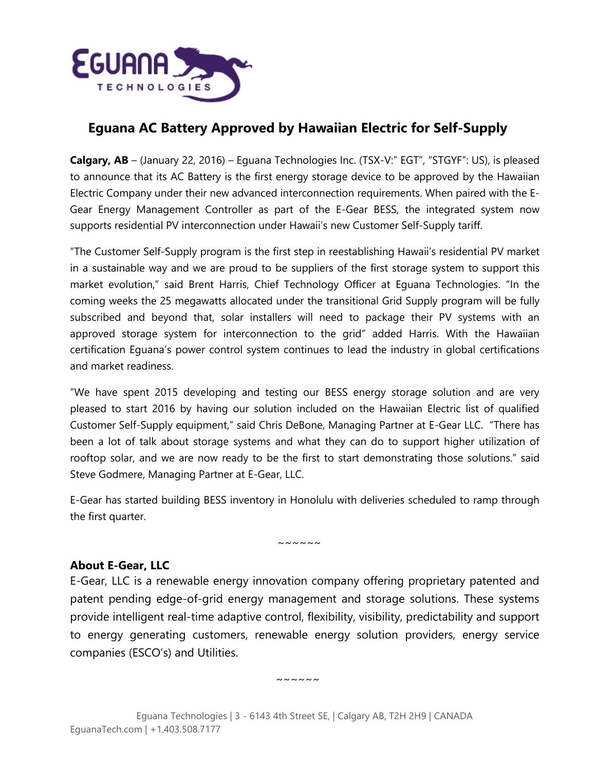

# **Eguana AC Battery Approved by Hawaiian Electric for Self-Supply**

**Calgary, AB** – (January 22, 2016) – Eguana Technologies Inc. (TSX-V:" EGT", "STGYF": US), is pleased to announce that its AC Battery is the first energy storage device to be approved by the Hawaiian Electric Company under their new advanced interconnection requirements. When paired with the E-Gear Energy Management Controller as part of the E-Gear BESS, the integrated system now supports residential PV interconnection under Hawaii's new Customer Self-Supply tariff.

"The Customer Self-Supply program is the first step in reestablishing Hawaii's residential PV market in a sustainable way and we are proud to be suppliers of the first storage system to support this market evolution," said Brent Harris, Chief Technology Officer at Eguana Technologies. "In the coming weeks the 25 megawatts allocated under the transitional Grid Supply program will be fully subscribed and beyond that, solar installers will need to package their PV systems with an approved storage system for interconnection to the grid" added Harris. With the Hawaiian certification Eguana's power control system continues to lead the industry in global certifications and market readiness.

"We have spent 2015 developing and testing our BESS energy storage solution and are very pleased to start 2016 by having our solution included on the Hawaiian Electric list of qualified Customer Self-Supply equipment," said Chris DeBone, Managing Partner at E-Gear LLC. "There has been a lot of talk about storage systems and what they can do to support higher utilization of rooftop solar, and we are now ready to be the first to start demonstrating those solutions." said Steve Godmere, Managing Partner at E-Gear, LLC.

E-Gear has started building BESS inventory in Honolulu with deliveries scheduled to ramp through the first quarter.

 $\sim$  ~~~~

## **About E-Gear, LLC**

E-Gear, LLC is a renewable energy innovation company offering proprietary patented and patent pending edge-of-grid energy management and storage solutions. These systems provide intelligent real-time adaptive control, flexibility, visibility, predictability and support to energy generating customers, renewable energy solution providers, energy service companies (ESCO's) and Utilities.

~~~~~~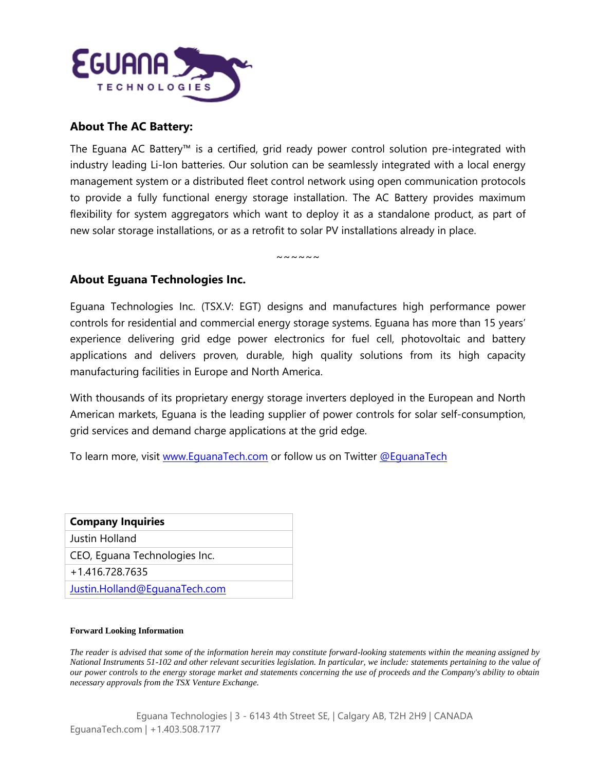

### **About The AC Battery:**

The Eguana AC Battery™ is a certified, grid ready power control solution pre-integrated with industry leading Li-Ion batteries. Our solution can be seamlessly integrated with a local energy management system or a distributed fleet control network using open communication protocols to provide a fully functional energy storage installation. The AC Battery provides maximum flexibility for system aggregators which want to deploy it as a standalone product, as part of new solar storage installations, or as a retrofit to solar PV installations already in place.

~~~~~~

#### **About Eguana Technologies Inc.**

Eguana Technologies Inc. (TSX.V: EGT) designs and manufactures high performance power controls for residential and commercial energy storage systems. Eguana has more than 15 years' experience delivering grid edge power electronics for fuel cell, photovoltaic and battery applications and delivers proven, durable, high quality solutions from its high capacity manufacturing facilities in Europe and North America.

With thousands of its proprietary energy storage inverters deployed in the European and North American markets, Eguana is the leading supplier of power controls for solar self-consumption, grid services and demand charge applications at the grid edge.

To learn more, visit [www.EguanaTech.com](http://www.eguanatech.com/) or follow us on Twitter [@EguanaTech](https://twitter.com/EguanaTech)

| <b>Company Inquiries</b>      |
|-------------------------------|
| Justin Holland                |
| CEO, Equana Technologies Inc. |
| +1.416.728.7635               |
| Justin.Holland@EquanaTech.com |

#### **Forward Looking Information**

*The reader is advised that some of the information herein may constitute forward-looking statements within the meaning assigned by National Instruments 51-102 and other relevant securities legislation. In particular, we include: statements pertaining to the value of our power controls to the energy storage market and statements concerning the use of proceeds and the Company's ability to obtain necessary approvals from the TSX Venture Exchange.*